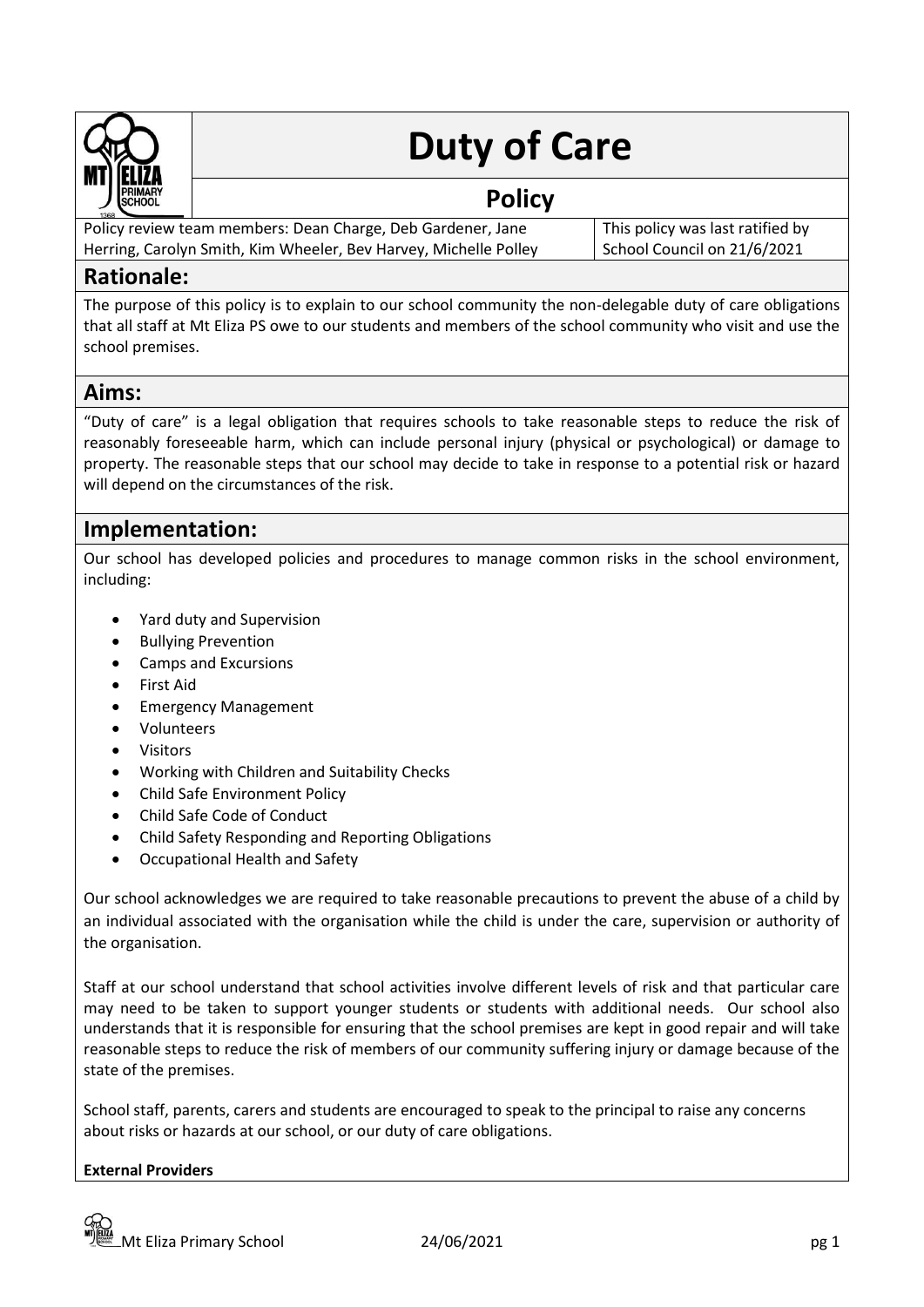

# **Duty of Care**

## **Policy**

Policy review team members: Dean Charge, Deb Gardener, Jane Herring, Carolyn Smith, Kim Wheeler, Bev Harvey, Michelle Polley

This policy was last ratified by School Council on 21/6/2021

### **Rationale:**

The purpose of this policy is to explain to our school community the non-delegable duty of care obligations that all staff at Mt Eliza PS owe to our students and members of the school community who visit and use the school premises.

## **Aims:**

"Duty of care" is a legal obligation that requires schools to take reasonable steps to reduce the risk of reasonably foreseeable harm, which can include personal injury (physical or psychological) or damage to property. The reasonable steps that our school may decide to take in response to a potential risk or hazard will depend on the circumstances of the risk.

## **Implementation:**

Our school has developed policies and procedures to manage common risks in the school environment, including:

- Yard duty and Supervision
- Bullying Prevention
- Camps and Excursions
- First Aid
- Emergency Management
- Volunteers
- Visitors
- Working with Children and Suitability Checks
- Child Safe Environment Policy
- Child Safe Code of Conduct
- Child Safety Responding and Reporting Obligations
- Occupational Health and Safety

Our school acknowledges we are required to take reasonable precautions to prevent the abuse of a child by an individual associated with the organisation while the child is under the care, supervision or authority of the organisation.

Staff at our school understand that school activities involve different levels of risk and that particular care may need to be taken to support younger students or students with additional needs. Our school also understands that it is responsible for ensuring that the school premises are kept in good repair and will take reasonable steps to reduce the risk of members of our community suffering injury or damage because of the state of the premises.

School staff, parents, carers and students are encouraged to speak to the principal to raise any concerns about risks or hazards at our school, or our duty of care obligations.

#### **External Providers**